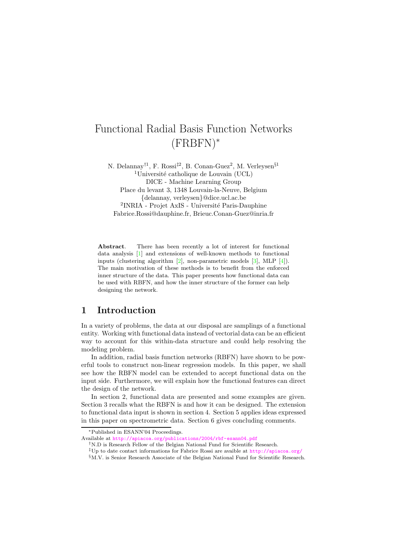# Functional Radial Basis Function Networks (FRBFN)<sup>∗</sup>

N. Delannay<sup>†1</sup>, F. Rossi<sup>‡2</sup>, B. Conan-Guez<sup>2</sup>, M. Verleysen<sup>§1</sup> <sup>1</sup>Université catholique de Louvain (UCL) DICE - Machine Learning Group Place du levant 3, 1348 Louvain-la-Neuve, Belgium {delannay, verleysen}@dice.ucl.ac.be <sup>2</sup>INRIA - Projet AxIS - Université Paris-Dauphine Fabrice.Rossi@dauphine.fr, Brieuc.Conan-Guez@inria.fr

Abstract. There has been recently a lot of interest for functional data analysis [\[1\]](#page-5-0) and extensions of well-known methods to functional inputs (clustering algorithm [\[2\]](#page-5-1), non-parametric models [\[3\]](#page-5-2), MLP [\[4\]](#page-5-3)). The main motivation of these methods is to benefit from the enforced inner structure of the data. This paper presents how functional data can be used with RBFN, and how the inner structure of the former can help designing the network.

# 1 Introduction

In a variety of problems, the data at our disposal are samplings of a functional entity. Working with functional data instead of vectorial data can be an efficient way to account for this within-data structure and could help resolving the modeling problem.

In addition, radial basis function networks (RBFN) have shown to be powerful tools to construct non-linear regression models. In this paper, we shall see how the RBFN model can be extended to accept functional data on the input side. Furthermore, we will explain how the functional features can direct the design of the network.

In section 2, functional data are presented and some examples are given. Section 3 recalls what the RBFN is and how it can be designed. The extension to functional data input is shown in section 4. Section 5 applies ideas expressed in this paper on spectrometric data. Section 6 gives concluding comments.

<sup>∗</sup>Published in ESANN'04 Proceedings.

Available at <http://apiacoa.org/publications/2004/rbf-esann04.pdf>

<sup>†</sup>N.D is Research Fellow of the Belgian National Fund for Scientific Research.

<sup>‡</sup>Up to date contact informations for Fabrice Rossi are avaible at <http://apiacoa.org/>

 $M.V.$  is Senior Research Associate of the Belgian National Fund for Scientific Research.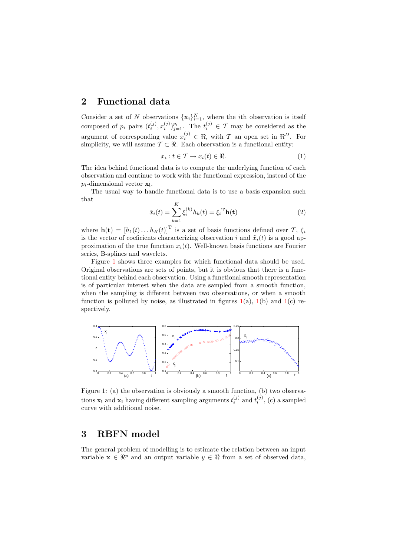# 2 Functional data

Consider a set of N observations  $\{x_i\}_{i=1}^N$ , where the *i*th observation is itself composed of  $p_i$  pairs  $(t_i^{(j)}, x_i^{(j)})_{j=1}^p$ . The  $t_i^{(j)} \in \mathcal{T}$  may be considered as the argument of corresponding value  $x_i^{(j)} \in \mathbb{R}$ , with T an open set in  $\mathbb{R}^D$ . For simplicity, we will assume  $\mathcal{T} \subset \mathbb{R}$ . Each observation is a functional entity:

$$
x_i : t \in \mathcal{T} \to x_i(t) \in \Re. \tag{1}
$$

The idea behind functional data is to compute the underlying function of each observation and continue to work with the functional expression, instead of the  $p_i$ -dimensional vector  $\mathbf{x_i}$ .

The usual way to handle functional data is to use a basis expansion such that

$$
\tilde{x}_i(t) = \sum_{k=1}^K \xi_i^{(k)} h_k(t) = \xi_i^{\mathrm{T}} \mathbf{h}(t)
$$
\n(2)

where  $\mathbf{h}(\mathbf{t}) = [h_1(t) \dots h_K(t)]^{\mathrm{T}}$  is a set of basis functions defined over  $\mathcal{T}, \xi_i$ is the vector of coeficients characterizing observation i and  $\tilde{x}_i(t)$  is a good approximation of the true function  $x_i(t)$ . Well-known basis functions are Fourier series, B-splines and wavelets.

Figure [1](#page-1-0) shows three examples for which functional data should be used. Original observations are sets of points, but it is obvious that there is a functional entity behind each observation. Using a functional smooth representation is of particular interest when the data are sampled from a smooth function, when the sampling is different between two observations, or when a smooth function is polluted by noise, as illustrated in figures  $1(a)$  $1(a)$ ,  $1(b)$  and  $1(c)$  respectively.



<span id="page-1-0"></span>Figure 1: (a) the observation is obviously a smooth function, (b) two observations  $\mathbf{x_i}$  and  $\mathbf{x_l}$  having different sampling arguments  $t_i^{(j)}$  $i^{(j)}$  and  $t^{(j)}_l$  $l^{(J)}$ , (c) a sampled curve with additional noise.

# 3 RBFN model

The general problem of modelling is to estimate the relation between an input variable  $\mathbf{x} \in \mathbb{R}^p$  and an output variable  $y \in \mathbb{R}$  from a set of observed data,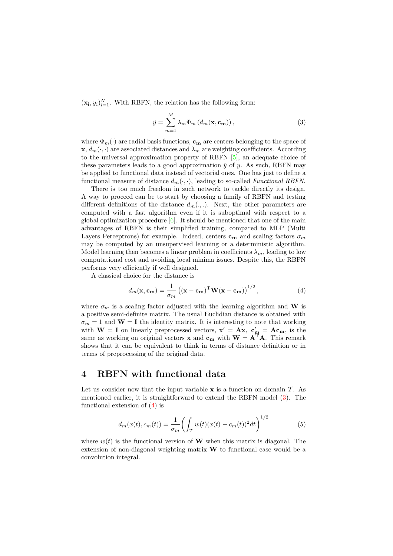<span id="page-2-0"></span> $(\mathbf{x_i}, y_i)_{i=1}^N$ . With RBFN, the relation has the following form:

$$
\tilde{y} = \sum_{m=1}^{M} \lambda_m \Phi_m \left( d_m(\mathbf{x}, \mathbf{c_m}) \right), \tag{3}
$$

where  $\Phi_m(\cdot)$  are radial basis functions,  $\mathbf{c}_m$  are centers belonging to the space of  $\mathbf{x}, d_m(\cdot, \cdot)$  are associated distances and  $\lambda_m$  are weighting coefficients. According to the universal approximation property of RBFN [\[5\]](#page-5-4), an adequate choice of these parameters leads to a good approximation  $\tilde{y}$  of y. As such, RBFN may be applied to functional data instead of vectorial ones. One has just to define a functional measure of distance  $d_m(\cdot, \cdot)$ , leading to so-called Functional RBFN.

There is too much freedom in such network to tackle directly its design. A way to proceed can be to start by choosing a family of RBFN and testing different definitions of the distance  $d_m(.,.)$ . Next, the other parameters are computed with a fast algorithm even if it is suboptimal with respect to a global optimization procedure  $[6]$ . It should be mentioned that one of the main advantages of RBFN is their simplified training, compared to MLP (Multi Layers Perceptrons) for example. Indeed, centers  $\mathbf{c}_{\mathbf{m}}$  and scaling factors  $\sigma_m$ may be computed by an unsupervised learning or a deterministic algorithm. Model learning then becomes a linear problem in coefficients  $\lambda_m$ , leading to low computational cost and avoiding local minima issues. Despite this, the RBFN performs very efficiently if well designed.

<span id="page-2-1"></span>A classical choice for the distance is

$$
d_m(\mathbf{x}, \mathbf{c_m}) = \frac{1}{\sigma_m} \left( (\mathbf{x} - \mathbf{c_m})^{\mathrm{T}} \mathbf{W} (\mathbf{x} - \mathbf{c_m}) \right)^{1/2}, \tag{4}
$$

where  $\sigma_m$  is a scaling factor adjusted with the learning algorithm and **W** is a positive semi-definite matrix. The usual Euclidian distance is obtained with  $\sigma_m = 1$  and  $\mathbf{W} = \mathbf{I}$  the identity matrix. It is interesting to note that working with  $W = I$  on linearly preprocessed vectors,  $x' = Ax$ ,  $c'_{m} = Ac_{m}$ , is the same as working on original vectors **x** and  $c_m$  with  $W = A^T A$ . This remark shows that it can be equivalent to think in terms of distance definition or in terms of preprocessing of the original data.

# 4 RBFN with functional data

Let us consider now that the input variable  $x$  is a function on domain T. As mentioned earlier, it is straightforward to extend the RBFN model [\(3\)](#page-2-0). The functional extension of [\(4\)](#page-2-1) is

$$
d_m(x(t), c_m(t)) = \frac{1}{\sigma_m} \left( \int_{\mathcal{T}} w(t) (x(t) - c_m(t))^2 dt \right)^{1/2}
$$
(5)

<span id="page-2-2"></span>where  $w(t)$  is the functional version of **W** when this matrix is diagonal. The extension of non-diagonal weighting matrix  $\bf{W}$  to functional case would be a convolution integral.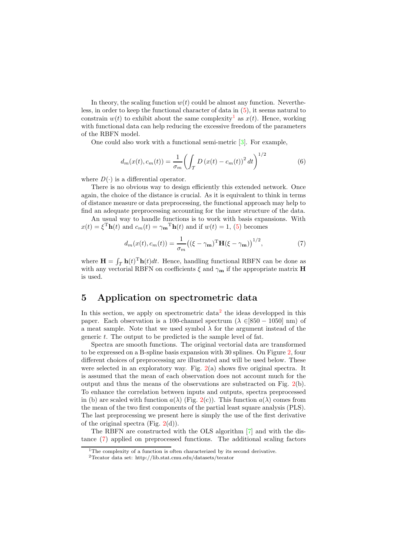In theory, the scaling function  $w(t)$  could be almost any function. Nevertheless, in order to keep the functional character of data in [\(5\)](#page-2-2), it seems natural to constrain  $w(t)$  to exhibit about the same complexity<sup>[1](#page-3-0)</sup> as  $x(t)$ . Hence, working with functional data can help reducing the excessive freedom of the parameters of the RBFN model.

One could also work with a functional semi-metric [\[3\]](#page-5-2). For example,

$$
d_m(x(t), c_m(t)) = \frac{1}{\sigma_m} \left( \int_{\mathcal{T}} D(x(t) - c_m(t))^2 dt \right)^{1/2}
$$
 (6)

where  $D(\cdot)$  is a differential operator.

There is no obvious way to design efficiently this extended network. Once again, the choice of the distance is crucial. As it is equivalent to think in terms of distance measure or data preprocessing, the functional approach may help to find an adequate preprocessing accounting for the inner structure of the data.

An usual way to handle functions is to work with basis expansions. With  $x(t) = \xi^{\mathrm{T}} \mathbf{h}(t)$  and  $c_m(t) = \gamma_{\mathbf{m}}{}^{\mathrm{T}} \mathbf{h}(t)$  and if  $w(t) = 1$ , [\(5\)](#page-2-2) becomes

$$
d_m(x(t), c_m(t)) = \frac{1}{\sigma_m} \left( (\xi - \gamma_m)^{\mathrm{T}} \mathbf{H} (\xi - \gamma_m) \right)^{1/2},\tag{7}
$$

<span id="page-3-2"></span>where  $\mathbf{H} = \int_{\mathcal{T}} \mathbf{h}(t)^{\mathrm{T}} \mathbf{h}(t) dt$ . Hence, handling functional RBFN can be done as with any vectorial RBFN on coefficients  $\xi$  and  $\gamma_{\mathbf{m}}$  if the appropriate matrix **H** is used.

#### 5 Application on spectrometric data

In this section, we apply on spectrometric data<sup>[2](#page-3-1)</sup> the ideas developped in this paper. Each observation is a 100-channel spectrum ( $\lambda \in [850 - 1050]$  nm) of a meat sample. Note that we used symbol  $\lambda$  for the argument instead of the generic t. The output to be predicted is the sample level of fat.

Spectra are smooth functions. The original vectorial data are transformed to be expressed on a B-spline basis expansion with 30 splines. On Figure [2,](#page-4-0) four different choices of preprocessing are illustrated and will be used below. These were selected in an exploratory way. Fig. [2\(](#page-4-0)a) shows five original spectra. It is assumed that the mean of each observation does not account much for the output and thus the means of the observations are substracted on Fig. [2\(](#page-4-0)b). To enhance the correlation between inputs and outputs, spectra preprocessed in (b) are scaled with function  $a(\lambda)$  (Fig. [2\(](#page-4-0)c)). This function  $a(\lambda)$  comes from the mean of the two first components of the partial least square analysis (PLS). The last preprocessing we present here is simply the use of the first derivative of the original spectra (Fig.  $2(d)$  $2(d)$ ).

The RBFN are constructed with the OLS algorithm [\[7\]](#page-5-6) and with the distance [\(7\)](#page-3-2) applied on preprocessed functions. The additional scaling factors

 $1$ <sup>1</sup>The complexity of a function is often characterized by its second derivative.

<span id="page-3-1"></span><span id="page-3-0"></span><sup>2</sup>Tecator data set: http://lib.stat.cmu.edu/datasets/tecator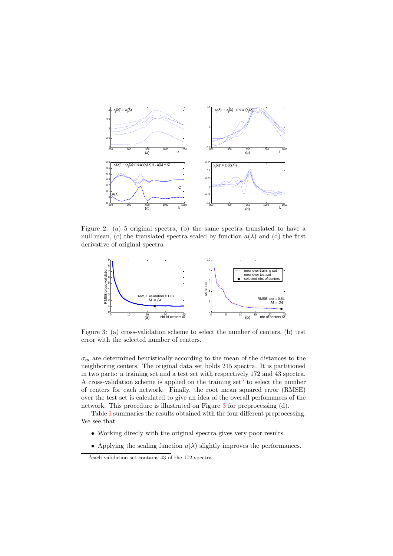

<span id="page-4-0"></span>Figure 2: (a) 5 original spectra, (b) the same spectra translated to have a null mean, (c) the translated spectra scaled by function  $a(\lambda)$  and (d) the first derivative of original spectra



<span id="page-4-2"></span>Figure 3: (a) cross-validation scheme to select the number of centers, (b) test error with the selected number of centers.

 $\sigma_m$  are determined heuristically according to the mean of the distances to the neighboring centers. The original data set holds 215 spectra. It is partitioned in two parts: a training set and a test set with respectively 172 and 43 spectra. A cross-validation scheme is applied on the training set<sup>[3](#page-4-1)</sup> to select the number of centers for each network. Finally, the root mean squared error (RMSE) over the test set is calculated to give an idea of the overall perfomances of the network. This procedure is illustrated on Figure [3](#page-4-2) for preprocessing (d).

Table [1](#page-5-7) summaries the results obtained with the four different preprocessing. We see that:

- Working direcly with the original spectra gives very poor results.
- Applying the scaling function  $a(\lambda)$  slightly improves the performances.

<span id="page-4-1"></span><sup>3</sup> each validation set contains 43 of the 172 spectra